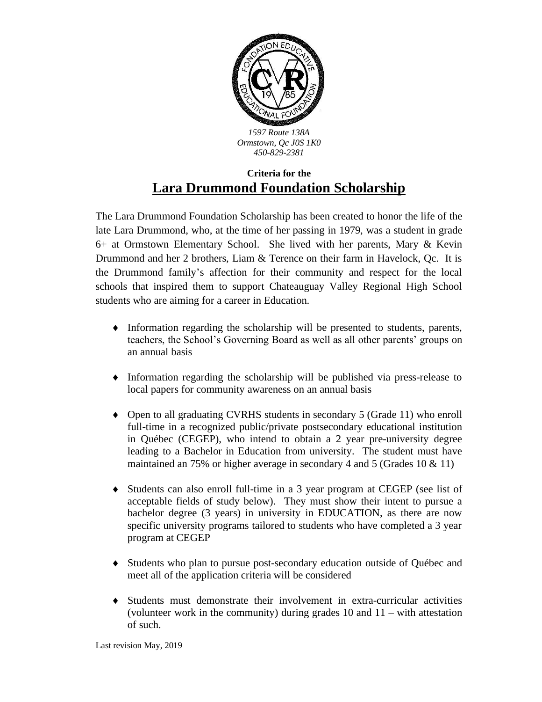

## **Criteria for the Lara Drummond Foundation Scholarship**

The Lara Drummond Foundation Scholarship has been created to honor the life of the late Lara Drummond, who, at the time of her passing in 1979, was a student in grade 6+ at Ormstown Elementary School. She lived with her parents, Mary & Kevin Drummond and her 2 brothers, Liam & Terence on their farm in Havelock, Qc. It is the Drummond family's affection for their community and respect for the local schools that inspired them to support Chateauguay Valley Regional High School students who are aiming for a career in Education.

- Information regarding the scholarship will be presented to students, parents, teachers, the School's Governing Board as well as all other parents' groups on an annual basis
- Information regarding the scholarship will be published via press-release to local papers for community awareness on an annual basis
- Open to all graduating CVRHS students in secondary 5 (Grade 11) who enroll full-time in a recognized public/private postsecondary educational institution in Québec (CEGEP), who intend to obtain a 2 year pre-university degree leading to a Bachelor in Education from university. The student must have maintained an 75% or higher average in secondary 4 and 5 (Grades 10 & 11)
- Students can also enroll full-time in a 3 year program at CEGEP (see list of acceptable fields of study below). They must show their intent to pursue a bachelor degree (3 years) in university in EDUCATION, as there are now specific university programs tailored to students who have completed a 3 year program at CEGEP
- Students who plan to pursue post-secondary education outside of Québec and meet all of the application criteria will be considered
- Students must demonstrate their involvement in extra-curricular activities (volunteer work in the community) during grades 10 and 11 – with attestation of such.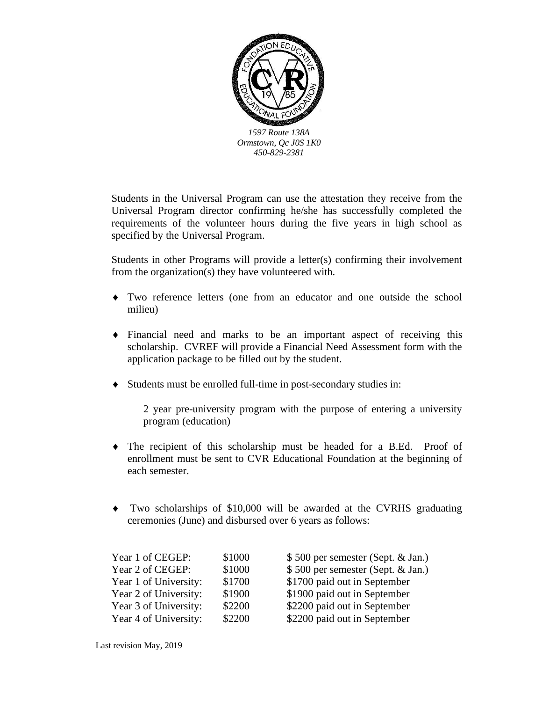

Students in the Universal Program can use the attestation they receive from the Universal Program director confirming he/she has successfully completed the requirements of the volunteer hours during the five years in high school as specified by the Universal Program.

Students in other Programs will provide a letter(s) confirming their involvement from the organization(s) they have volunteered with.

- Two reference letters (one from an educator and one outside the school milieu)
- Financial need and marks to be an important aspect of receiving this scholarship. CVREF will provide a Financial Need Assessment form with the application package to be filled out by the student.
- Students must be enrolled full-time in post-secondary studies in:

2 year pre-university program with the purpose of entering a university program (education)

- The recipient of this scholarship must be headed for a B.Ed. Proof of enrollment must be sent to CVR Educational Foundation at the beginning of each semester.
- Two scholarships of \$10,000 will be awarded at the CVRHS graduating ceremonies (June) and disbursed over 6 years as follows:

| Year 1 of CEGEP:      | \$1000 | \$500 per semester (Sept. & Jan.) |
|-----------------------|--------|-----------------------------------|
| Year 2 of CEGEP:      | \$1000 | \$500 per semester (Sept. & Jan.) |
| Year 1 of University: | \$1700 | \$1700 paid out in September      |
| Year 2 of University: | \$1900 | \$1900 paid out in September      |
| Year 3 of University: | \$2200 | \$2200 paid out in September      |
| Year 4 of University: | \$2200 | \$2200 paid out in September      |
|                       |        |                                   |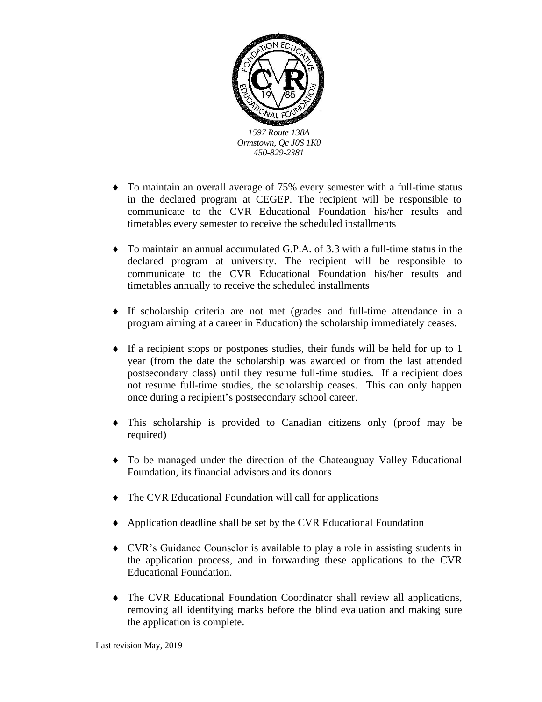

- To maintain an overall average of 75% every semester with a full-time status in the declared program at CEGEP. The recipient will be responsible to communicate to the CVR Educational Foundation his/her results and timetables every semester to receive the scheduled installments
- To maintain an annual accumulated G.P.A. of 3.3 with a full-time status in the declared program at university. The recipient will be responsible to communicate to the CVR Educational Foundation his/her results and timetables annually to receive the scheduled installments
- If scholarship criteria are not met (grades and full-time attendance in a program aiming at a career in Education) the scholarship immediately ceases.
- $\bullet$  If a recipient stops or postpones studies, their funds will be held for up to 1 year (from the date the scholarship was awarded or from the last attended postsecondary class) until they resume full-time studies. If a recipient does not resume full-time studies, the scholarship ceases. This can only happen once during a recipient's postsecondary school career.
- This scholarship is provided to Canadian citizens only (proof may be required)
- To be managed under the direction of the Chateauguay Valley Educational Foundation, its financial advisors and its donors
- The CVR Educational Foundation will call for applications
- Application deadline shall be set by the CVR Educational Foundation
- CVR's Guidance Counselor is available to play a role in assisting students in the application process, and in forwarding these applications to the CVR Educational Foundation.
- The CVR Educational Foundation Coordinator shall review all applications, removing all identifying marks before the blind evaluation and making sure the application is complete.